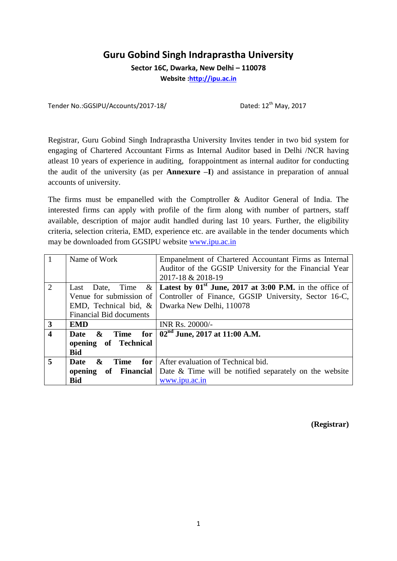## **Guru Gobind Singh Indraprastha University**

**Sector 16C, Dwarka, New Delhi – 110078**

**Website [:http://ipu.ac.in](http://ipu.ac.in/)**

Tender No.:GGSIPU/Accounts/2017-18/ Dated: 12<sup>th</sup> May, 2017

Registrar, Guru Gobind Singh Indraprastha University Invites tender in two bid system for engaging of Chartered Accountant Firms as Internal Auditor based in Delhi /NCR having atleast 10 years of experience in auditing, forappointment as internal auditor for conducting the audit of the university (as per **Annexure –I**) and assistance in preparation of annual accounts of university.

The firms must be empanelled with the Comptroller & Auditor General of India. The interested firms can apply with profile of the firm along with number of partners, staff available, description of major audit handled during last 10 years. Further, the eligibility criteria, selection criteria, EMD, experience etc. are available in the tender documents which may be downloaded from GGSIPU website [www.ipu.ac.in](http://www.ipu.ac.in/)

|                         | Name of Work                           | Empanelment of Chartered Accountant Firms as Internal     |
|-------------------------|----------------------------------------|-----------------------------------------------------------|
|                         |                                        | Auditor of the GGSIP University for the Financial Year    |
|                         |                                        | 2017-18 & 2018-19                                         |
| 2                       | $\&$<br>Date, Time<br>Last             | Latest by $01st$ June, 2017 at 3:00 P.M. in the office of |
|                         | Venue for submission of                | Controller of Finance, GGSIP University, Sector 16-C,     |
|                         | EMD, Technical bid, $\&$               | Dwarka New Delhi, 110078                                  |
|                         | <b>Financial Bid documents</b>         |                                                           |
| $\overline{\mathbf{3}}$ | <b>EMD</b>                             | INR Rs. 20000/-                                           |
| $\overline{\mathbf{4}}$ | $\mathbf{\&}$<br>Time<br>for<br>Date   | $02nd$ June, 2017 at 11:00 A.M.                           |
|                         | opening of Technical                   |                                                           |
|                         | <b>Bid</b>                             |                                                           |
| 5                       | for<br>&<br><b>Time</b><br><b>Date</b> | After evaluation of Technical bid.                        |
|                         | of Financial<br>opening                | Date & Time will be notified separately on the website    |
|                         | <b>Bid</b>                             | www.ipu.ac.in                                             |

**(Registrar)**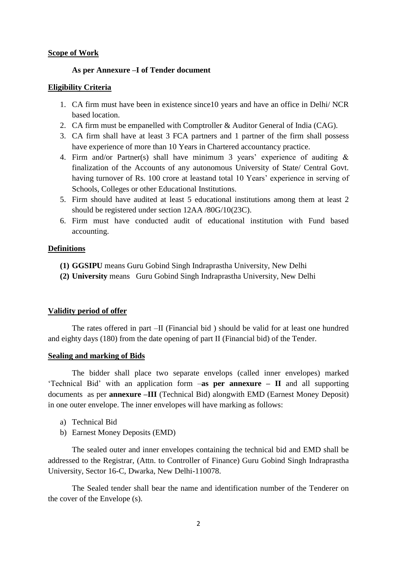### **Scope of Work**

### **As per Annexure –I of Tender document**

### **Eligibility Criteria**

- 1. CA firm must have been in existence since10 years and have an office in Delhi/ NCR based location.
- 2. CA firm must be empanelled with Comptroller & Auditor General of India (CAG).
- 3. CA firm shall have at least 3 FCA partners and 1 partner of the firm shall possess have experience of more than 10 Years in Chartered accountancy practice.
- 4. Firm and/or Partner(s) shall have minimum 3 years' experience of auditing & finalization of the Accounts of any autonomous University of State/ Central Govt. having turnover of Rs. 100 crore at leastand total 10 Years' experience in serving of Schools, Colleges or other Educational Institutions.
- 5. Firm should have audited at least 5 educational institutions among them at least 2 should be registered under section 12AA /80G/10(23C).
- 6. Firm must have conducted audit of educational institution with Fund based accounting.

### **Definitions**

- **(1) GGSIPU** means Guru Gobind Singh Indraprastha University, New Delhi
- **(2) University** means Guru Gobind Singh Indraprastha University, New Delhi

### **Validity period of offer**

The rates offered in part –II (Financial bid ) should be valid for at least one hundred and eighty days (180) from the date opening of part II (Financial bid) of the Tender.

### **Sealing and marking of Bids**

The bidder shall place two separate envelops (called inner envelopes) marked 'Technical Bid' with an application form –**as per annexure – II** and all supporting documents as per **annexure –III** (Technical Bid) alongwith EMD (Earnest Money Deposit) in one outer envelope. The inner envelopes will have marking as follows:

- a) Technical Bid
- b) Earnest Money Deposits (EMD)

The sealed outer and inner envelopes containing the technical bid and EMD shall be addressed to the Registrar, (Attn. to Controller of Finance) Guru Gobind Singh Indraprastha University, Sector 16-C, Dwarka, New Delhi-110078.

The Sealed tender shall bear the name and identification number of the Tenderer on the cover of the Envelope (s).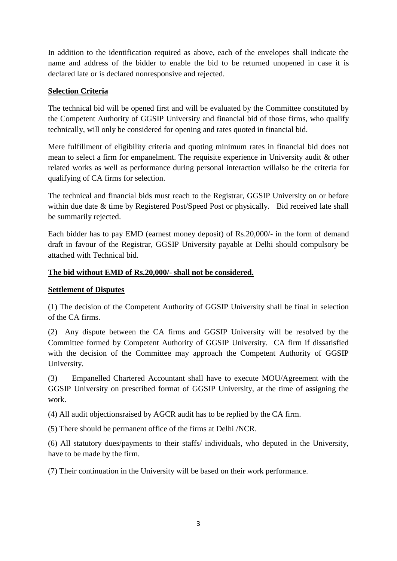In addition to the identification required as above, each of the envelopes shall indicate the name and address of the bidder to enable the bid to be returned unopened in case it is declared late or is declared nonresponsive and rejected.

### **Selection Criteria**

The technical bid will be opened first and will be evaluated by the Committee constituted by the Competent Authority of GGSIP University and financial bid of those firms, who qualify technically, will only be considered for opening and rates quoted in financial bid.

Mere fulfillment of eligibility criteria and quoting minimum rates in financial bid does not mean to select a firm for empanelment. The requisite experience in University audit & other related works as well as performance during personal interaction willalso be the criteria for qualifying of CA firms for selection.

The technical and financial bids must reach to the Registrar, GGSIP University on or before within due date & time by Registered Post/Speed Post or physically. Bid received late shall be summarily rejected.

Each bidder has to pay EMD (earnest money deposit) of Rs.20,000/- in the form of demand draft in favour of the Registrar, GGSIP University payable at Delhi should compulsory be attached with Technical bid.

### **The bid without EMD of Rs.20,000/- shall not be considered.**

### **Settlement of Disputes**

(1) The decision of the Competent Authority of GGSIP University shall be final in selection of the CA firms.

(2) Any dispute between the CA firms and GGSIP University will be resolved by the Committee formed by Competent Authority of GGSIP University. CA firm if dissatisfied with the decision of the Committee may approach the Competent Authority of GGSIP University.

(3) Empanelled Chartered Accountant shall have to execute MOU/Agreement with the GGSIP University on prescribed format of GGSIP University, at the time of assigning the work.

(4) All audit objectionsraised by AGCR audit has to be replied by the CA firm.

(5) There should be permanent office of the firms at Delhi /NCR.

(6) All statutory dues/payments to their staffs/ individuals, who deputed in the University, have to be made by the firm.

(7) Their continuation in the University will be based on their work performance.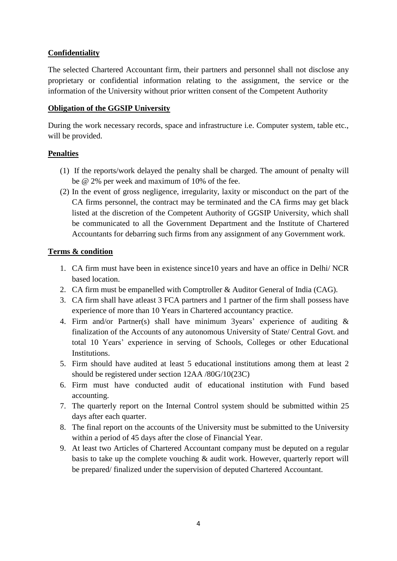### **Confidentiality**

The selected Chartered Accountant firm, their partners and personnel shall not disclose any proprietary or confidential information relating to the assignment, the service or the information of the University without prior written consent of the Competent Authority

### **Obligation of the GGSIP University**

During the work necessary records, space and infrastructure i.e. Computer system, table etc., will be provided.

### **Penalties**

- (1) If the reports/work delayed the penalty shall be charged. The amount of penalty will be @ 2% per week and maximum of 10% of the fee.
- (2) In the event of gross negligence, irregularity, laxity or misconduct on the part of the CA firms personnel, the contract may be terminated and the CA firms may get black listed at the discretion of the Competent Authority of GGSIP University, which shall be communicated to all the Government Department and the Institute of Chartered Accountants for debarring such firms from any assignment of any Government work.

### **Terms & condition**

- 1. CA firm must have been in existence since10 years and have an office in Delhi/ NCR based location.
- 2. CA firm must be empanelled with Comptroller & Auditor General of India (CAG).
- 3. CA firm shall have atleast 3 FCA partners and 1 partner of the firm shall possess have experience of more than 10 Years in Chartered accountancy practice.
- 4. Firm and/or Partner(s) shall have minimum 3years' experience of auditing & finalization of the Accounts of any autonomous University of State/ Central Govt. and total 10 Years' experience in serving of Schools, Colleges or other Educational Institutions.
- 5. Firm should have audited at least 5 educational institutions among them at least 2 should be registered under section 12AA /80G/10(23C)
- 6. Firm must have conducted audit of educational institution with Fund based accounting.
- 7. The quarterly report on the Internal Control system should be submitted within 25 days after each quarter.
- 8. The final report on the accounts of the University must be submitted to the University within a period of 45 days after the close of Financial Year.
- 9. At least two Articles of Chartered Accountant company must be deputed on a regular basis to take up the complete vouching & audit work. However, quarterly report will be prepared/ finalized under the supervision of deputed Chartered Accountant.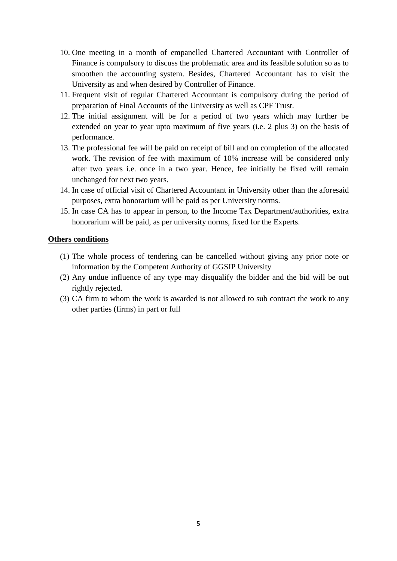- 10. One meeting in a month of empanelled Chartered Accountant with Controller of Finance is compulsory to discuss the problematic area and its feasible solution so as to smoothen the accounting system. Besides, Chartered Accountant has to visit the University as and when desired by Controller of Finance.
- 11. Frequent visit of regular Chartered Accountant is compulsory during the period of preparation of Final Accounts of the University as well as CPF Trust.
- 12. The initial assignment will be for a period of two years which may further be extended on year to year upto maximum of five years (i.e. 2 plus 3) on the basis of performance.
- 13. The professional fee will be paid on receipt of bill and on completion of the allocated work. The revision of fee with maximum of 10% increase will be considered only after two years i.e. once in a two year. Hence, fee initially be fixed will remain unchanged for next two years.
- 14. In case of official visit of Chartered Accountant in University other than the aforesaid purposes, extra honorarium will be paid as per University norms.
- 15. In case CA has to appear in person, to the Income Tax Department/authorities, extra honorarium will be paid, as per university norms, fixed for the Experts.

#### **Others conditions**

- (1) The whole process of tendering can be cancelled without giving any prior note or information by the Competent Authority of GGSIP University
- (2) Any undue influence of any type may disqualify the bidder and the bid will be out rightly rejected.
- (3) CA firm to whom the work is awarded is not allowed to sub contract the work to any other parties (firms) in part or full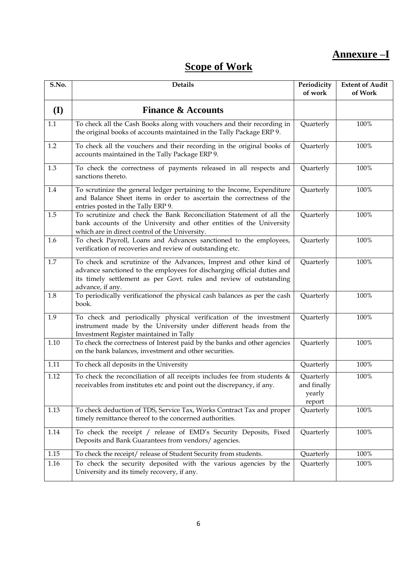# **Annexure –I**

# **Scope of Work**

| S.No.   | <b>Details</b>                                                                                                                                                                                                                          | Periodicity<br>of work                       | <b>Extent of Audit</b><br>of Work |
|---------|-----------------------------------------------------------------------------------------------------------------------------------------------------------------------------------------------------------------------------------------|----------------------------------------------|-----------------------------------|
| (I)     | <b>Finance &amp; Accounts</b>                                                                                                                                                                                                           |                                              |                                   |
| 1.1     | To check all the Cash Books along with vouchers and their recording in<br>the original books of accounts maintained in the Tally Package ERP 9.                                                                                         | Quarterly                                    | 100%                              |
| $1.2\,$ | To check all the vouchers and their recording in the original books of<br>accounts maintained in the Tally Package ERP 9.                                                                                                               | Quarterly                                    | 100%                              |
| 1.3     | To check the correctness of payments released in all respects and<br>sanctions thereto.                                                                                                                                                 | Quarterly                                    | 100%                              |
| 1.4     | To scrutinize the general ledger pertaining to the Income, Expenditure<br>and Balance Sheet items in order to ascertain the correctness of the<br>entries posted in the Tally ERP 9.                                                    | Quarterly                                    | 100%                              |
| 1.5     | To scrutinize and check the Bank Reconciliation Statement of all the<br>bank accounts of the University and other entities of the University<br>which are in direct control of the University.                                          | Quarterly                                    | 100%                              |
| 1.6     | To check Payroll, Loans and Advances sanctioned to the employees,<br>verification of recoveries and review of outstanding etc.                                                                                                          | Quarterly                                    | 100%                              |
| 1.7     | To check and scrutinize of the Advances, Imprest and other kind of<br>advance sanctioned to the employees for discharging official duties and<br>its timely settlement as per Govt. rules and review of outstanding<br>advance, if any. | Quarterly                                    | 100%                              |
| 1.8     | To periodically verificationof the physical cash balances as per the cash<br>book.                                                                                                                                                      | Quarterly                                    | 100%                              |
| 1.9     | To check and periodically physical verification of the investment<br>instrument made by the University under different heads from the<br>Investment Register maintained in Tally                                                        | Quarterly                                    | 100%                              |
| 1.10    | To check the correctness of Interest paid by the banks and other agencies<br>on the bank balances, investment and other securities.                                                                                                     | Quarterly                                    | 100%                              |
| 1.11    | To check all deposits in the University                                                                                                                                                                                                 | Quarterly                                    | 100%                              |
| 1.12    | To check the reconciliation of all receipts includes fee from students $\&$<br>receivables from institutes etc and point out the discrepancy, if any.                                                                                   | Quarterly<br>and finally<br>yearly<br>report | 100%                              |
| 1.13    | To check deduction of TDS, Service Tax, Works Contract Tax and proper<br>timely remittance thereof to the concerned authorities.                                                                                                        | Quarterly                                    | 100%                              |
| 1.14    | To check the receipt / release of EMD's Security Deposits, Fixed<br>Deposits and Bank Guarantees from vendors/agencies.                                                                                                                 | Quarterly                                    | 100%                              |
| 1.15    | To check the receipt/release of Student Security from students.                                                                                                                                                                         | Quarterly                                    | 100%                              |
| 1.16    | To check the security deposited with the various agencies by the<br>University and its timely recovery, if any.                                                                                                                         | Quarterly                                    | 100%                              |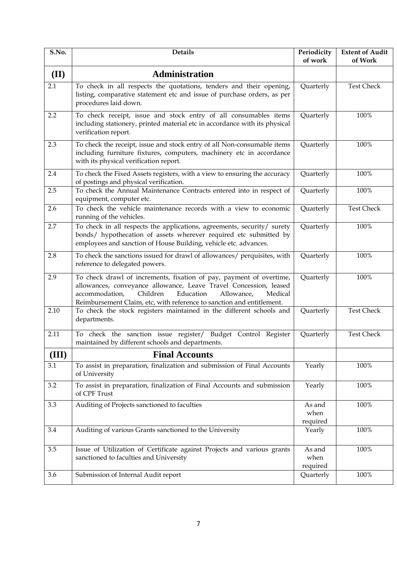| S.No. | <b>Details</b>                                                                                                                                                                                                                                                                        | Periodicity<br>of work     | <b>Extent of Audit</b><br>of Work |
|-------|---------------------------------------------------------------------------------------------------------------------------------------------------------------------------------------------------------------------------------------------------------------------------------------|----------------------------|-----------------------------------|
| (II)  | <b>Administration</b>                                                                                                                                                                                                                                                                 |                            |                                   |
| 2.1   | To check in all respects the quotations, tenders and their opening,<br>listing, comparative statement etc and issue of purchase orders, as per<br>procedures laid down.                                                                                                               | Quarterly                  | <b>Test Check</b>                 |
| 2.2   | To check receipt, issue and stock entry of all consumables items<br>including stationery, printed material etc in accordance with its physical<br>verification report.                                                                                                                | Quarterly                  | 100%                              |
| 2.3   | To check the receipt, issue and stock entry of all Non-consumable items<br>including furniture fixtures, computers, machinery etc in accordance<br>with its physical verification report.                                                                                             | Quarterly                  | 100%                              |
| 2.4   | To check the Fixed Assets registers, with a view to ensuring the accuracy<br>of postings and physical verification.                                                                                                                                                                   | Quarterly                  | 100%                              |
| 2.5   | To check the Annual Maintenance Contracts entered into in respect of<br>equipment, computer etc.                                                                                                                                                                                      | Quarterly                  | 100%                              |
| 2.6   | To check the vehicle maintenance records with a view to economic<br>running of the vehicles.                                                                                                                                                                                          | Quarterly                  | <b>Test Check</b>                 |
| 2.7   | To check in all respects the applications, agreements, security/ surety<br>bonds/ hypothecation of assets wherever required etc submitted by<br>employees and sanction of House Building, vehicle etc. advances.                                                                      | Quarterly                  | 100%                              |
| 2.8   | To check the sanctions issued for drawl of allowances/ perquisites, with<br>reference to delegated powers.                                                                                                                                                                            | Quarterly                  | 100%                              |
| 2.9   | To check drawl of increments, fixation of pay, payment of overtime,<br>allowances, conveyance allowance, Leave Travel Concession, leased<br>Children<br>accommodation,<br>Education<br>Allowance,<br>Medical<br>Reimbursement Claim, etc, with reference to sanction and entitlement. | Quarterly                  | 100%                              |
| 2.10  | To check the stock registers maintained in the different schools and<br>departments.                                                                                                                                                                                                  | Quarterly                  | <b>Test Check</b>                 |
| 2.11  | To check the sanction issue register/ Budget Control Register<br>maintained by different schools and departments.                                                                                                                                                                     | Quarterly                  | <b>Test Check</b>                 |
| (III) | <b>Final Accounts</b>                                                                                                                                                                                                                                                                 |                            |                                   |
| 3.1   | To assist in preparation, finalization and submission of Final Accounts<br>of University                                                                                                                                                                                              | Yearly                     | 100%                              |
| 3.2   | To assist in preparation, finalization of Final Accounts and submission<br>of CPF Trust                                                                                                                                                                                               | Yearly                     | 100%                              |
| 3.3   | Auditing of Projects sanctioned to faculties                                                                                                                                                                                                                                          | As and<br>when<br>required | 100%                              |
| 3.4   | Auditing of various Grants sanctioned to the University                                                                                                                                                                                                                               | Yearly                     | 100%                              |
| 3.5   | Issue of Utilization of Certificate against Projects and various grants<br>sanctioned to faculties and University                                                                                                                                                                     | As and<br>when<br>required | 100%                              |
| 3.6   | Submission of Internal Audit report                                                                                                                                                                                                                                                   | Quarterly                  | 100%                              |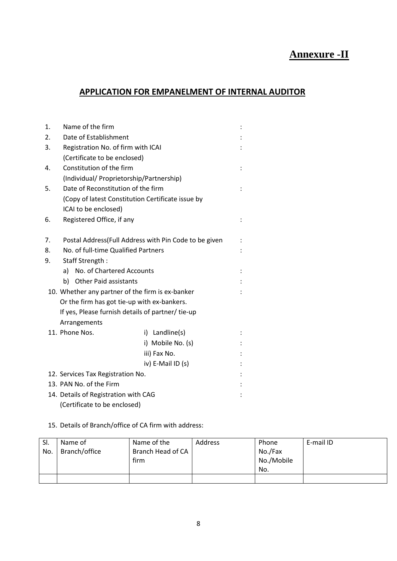# **Annexure -II**

### **APPLICATION FOR EMPANELMENT OF INTERNAL AUDITOR**

| 1. | Name of the firm                                      |                   |  |  |
|----|-------------------------------------------------------|-------------------|--|--|
| 2. | Date of Establishment                                 |                   |  |  |
| 3. | Registration No. of firm with ICAI                    |                   |  |  |
|    | (Certificate to be enclosed)                          |                   |  |  |
| 4. | Constitution of the firm                              |                   |  |  |
|    | (Individual/ Proprietorship/Partnership)              |                   |  |  |
| 5. | Date of Reconstitution of the firm                    |                   |  |  |
|    | (Copy of latest Constitution Certificate issue by     |                   |  |  |
|    | ICAI to be enclosed)                                  |                   |  |  |
| 6. | Registered Office, if any                             |                   |  |  |
|    |                                                       |                   |  |  |
| 7. | Postal Address(Full Address with Pin Code to be given |                   |  |  |
| 8. | No. of full-time Qualified Partners                   |                   |  |  |
| 9. | Staff Strength:                                       |                   |  |  |
|    | a) No. of Chartered Accounts                          |                   |  |  |
|    | <b>Other Paid assistants</b><br>b)                    |                   |  |  |
|    | 10. Whether any partner of the firm is ex-banker      |                   |  |  |
|    | Or the firm has got tie-up with ex-bankers.           |                   |  |  |
|    | If yes, Please furnish details of partner/tie-up      |                   |  |  |
|    | Arrangements                                          |                   |  |  |
|    | 11. Phone Nos.                                        | i) Landline(s)    |  |  |
|    |                                                       | i) Mobile No. (s) |  |  |
|    |                                                       | iii) Fax No.      |  |  |
|    |                                                       | iv) E-Mail ID (s) |  |  |
|    | 12. Services Tax Registration No.                     |                   |  |  |
|    | 13. PAN No. of the Firm                               |                   |  |  |
|    | 14. Details of Registration with CAG                  |                   |  |  |
|    | (Certificate to be enclosed)                          |                   |  |  |

#### 15. Details of Branch/office of CA firm with address:

| SI.<br>No. | Name of<br>Branch/office | Name of the<br>Branch Head of CA<br>firm | <b>Address</b> | Phone<br>No./Fax<br>No./Mobile<br>No. | E-mail ID |
|------------|--------------------------|------------------------------------------|----------------|---------------------------------------|-----------|
|            |                          |                                          |                |                                       |           |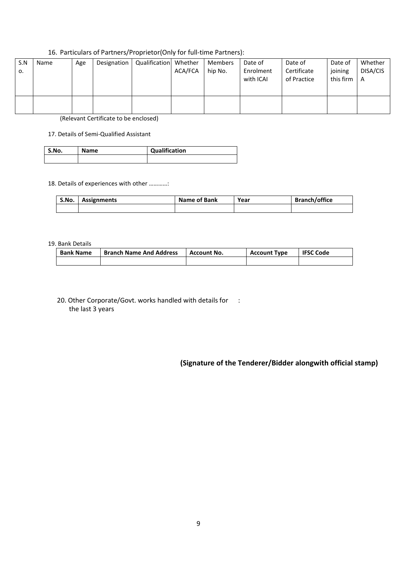#### 16. Particulars of Partners/Proprietor(Only for full-time Partners):

| S.N<br>о. | Name | Age | Designation | Qualification Whether | ACA/FCA | Members<br>hip No. | Date of<br>Enrolment<br>with ICAI | Date of<br>Certificate<br>of Practice | Date of<br>joining<br>this firm | Whether<br>DISA/CIS<br>A |
|-----------|------|-----|-------------|-----------------------|---------|--------------------|-----------------------------------|---------------------------------------|---------------------------------|--------------------------|
|           |      |     |             |                       |         |                    |                                   |                                       |                                 |                          |

(Relevant Certificate to be enclosed)

#### 17. Details of Semi-Qualified Assistant

| S.No. | <b>Name</b> | Qualification |
|-------|-------------|---------------|
|       |             |               |

#### 18. Details of experiences with other …………:

| S.No. | Assignments | Name of Bank | Year | <b>Branch/office</b> |
|-------|-------------|--------------|------|----------------------|
|       |             |              |      |                      |

#### 19. Bank Details

| <b>Bank Name</b> | <b>Branch Name And Address</b> | <b>Account No.</b> | <b>Account Type</b> | <b>IFSC Code</b> |
|------------------|--------------------------------|--------------------|---------------------|------------------|
|                  |                                |                    |                     |                  |

20. Other Corporate/Govt. works handled with details for : the last 3 years

### **(Signature of the Tenderer/Bidder alongwith official stamp)**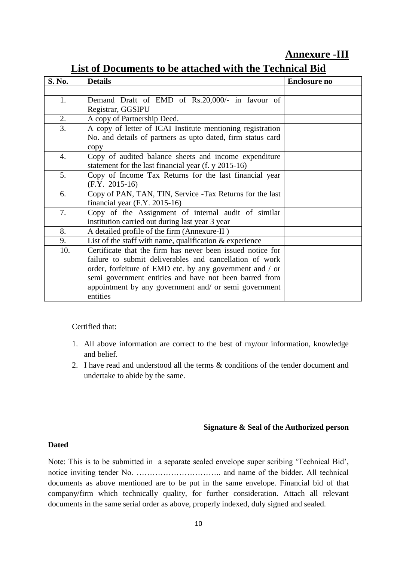## **Annexure -III**

| S. No. | <b>Details</b>                                              | <b>Enclosure no</b> |
|--------|-------------------------------------------------------------|---------------------|
|        |                                                             |                     |
| 1.     | Demand Draft of EMD of Rs.20,000/- in favour of             |                     |
|        | Registrar, GGSIPU                                           |                     |
| 2.     | A copy of Partnership Deed.                                 |                     |
| 3.     | A copy of letter of ICAI Institute mentioning registration  |                     |
|        | No. and details of partners as upto dated, firm status card |                     |
|        | copy                                                        |                     |
| 4.     | Copy of audited balance sheets and income expenditure       |                     |
|        | statement for the last financial year (f. y 2015-16)        |                     |
| 5.     | Copy of Income Tax Returns for the last financial year      |                     |
|        | $(F.Y. 2015-16)$                                            |                     |
| 6.     | Copy of PAN, TAN, TIN, Service -Tax Returns for the last    |                     |
|        | financial year $(F.Y. 2015-16)$                             |                     |
| 7.     | Copy of the Assignment of internal audit of similar         |                     |
|        | institution carried out during last year 3 year             |                     |
| 8.     | A detailed profile of the firm (Annexure-II)                |                     |
| 9.     | List of the staff with name, qualification $&$ experience   |                     |
| 10.    | Certificate that the firm has never been issued notice for  |                     |
|        | failure to submit deliverables and cancellation of work     |                     |
|        | order, forfeiture of EMD etc. by any government and / or    |                     |
|        | semi government entities and have not been barred from      |                     |
|        | appointment by any government and/ or semi government       |                     |
|        | entities                                                    |                     |

# **List of Documents to be attached with the Technical Bid**

### Certified that:

- 1. All above information are correct to the best of my/our information, knowledge and belief.
- 2. I have read and understood all the terms & conditions of the tender document and undertake to abide by the same.

### **Signature & Seal of the Authorized person**

### **Dated**

Note: This is to be submitted in a separate sealed envelope super scribing 'Technical Bid', notice inviting tender No. ………………………….. and name of the bidder. All technical documents as above mentioned are to be put in the same envelope. Financial bid of that company/firm which technically quality, for further consideration. Attach all relevant documents in the same serial order as above, properly indexed, duly signed and sealed.